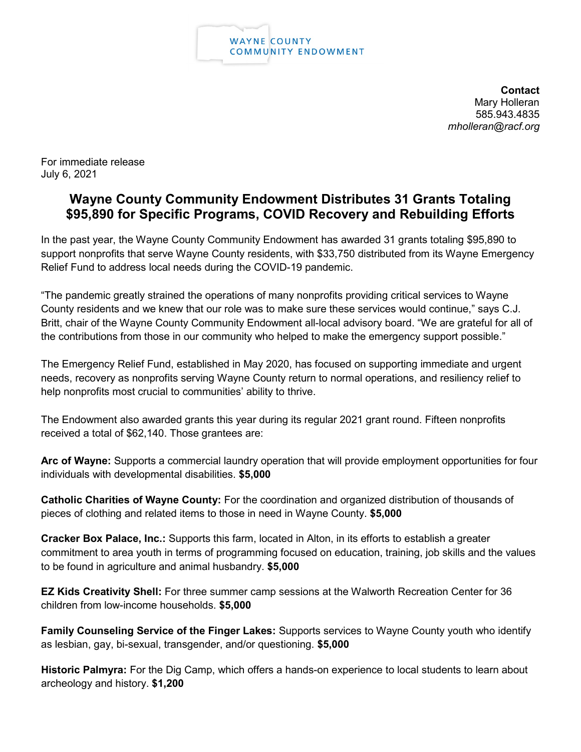

**Contact** Mary Holleran 585.943.4835 *mholleran@racf.org*

For immediate release July 6, 2021

## **Wayne County Community Endowment Distributes 31 Grants Totaling \$95,890 for Specific Programs, COVID Recovery and Rebuilding Efforts**

In the past year, the Wayne County Community Endowment has awarded 31 grants totaling \$95,890 to support nonprofits that serve Wayne County residents, with \$33,750 distributed from its Wayne Emergency Relief Fund to address local needs during the COVID-19 pandemic.

"The pandemic greatly strained the operations of many nonprofits providing critical services to Wayne County residents and we knew that our role was to make sure these services would continue," says C.J. Britt, chair of the Wayne County Community Endowment all-local advisory board. "We are grateful for all of the contributions from those in our community who helped to make the emergency support possible."

The Emergency Relief Fund, established in May 2020, has focused on supporting immediate and urgent needs, recovery as nonprofits serving Wayne County return to normal operations, and resiliency relief to help nonprofits most crucial to communities' ability to thrive.

The Endowment also awarded grants this year during its regular 2021 grant round. Fifteen nonprofits received a total of \$62,140. Those grantees are:

**Arc of Wayne:** Supports a commercial laundry operation that will provide employment opportunities for four individuals with developmental disabilities. **\$5,000**

**Catholic Charities of Wayne County:** For the coordination and organized distribution of thousands of pieces of clothing and related items to those in need in Wayne County. **\$5,000**

**Cracker Box Palace, Inc.:** Supports this farm, located in Alton, in its efforts to establish a greater commitment to area youth in terms of programming focused on education, training, job skills and the values to be found in agriculture and animal husbandry. **\$5,000**

**EZ Kids Creativity Shell:** For three summer camp sessions at the Walworth Recreation Center for 36 children from low-income households. **\$5,000**

**Family Counseling Service of the Finger Lakes:** Supports services to Wayne County youth who identify as lesbian, gay, bi-sexual, transgender, and/or questioning. **\$5,000**

**Historic Palmyra:** For the Dig Camp, which offers a hands-on experience to local students to learn about archeology and history. **\$1,200**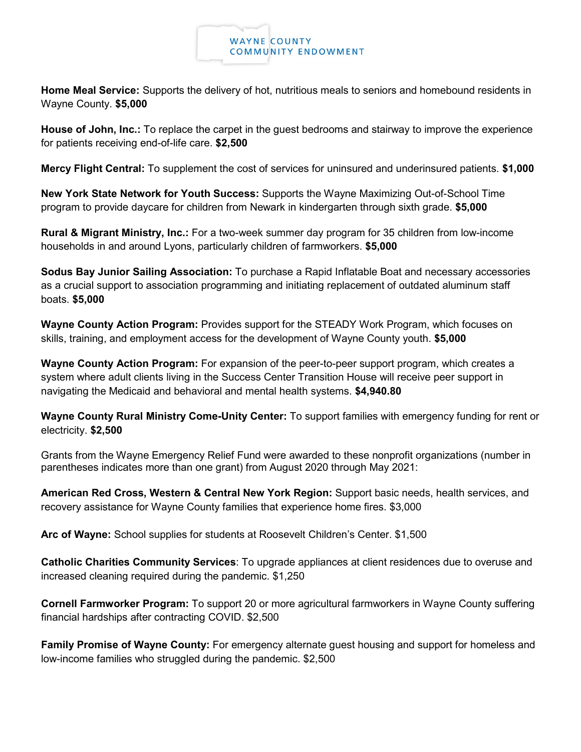

**Home Meal Service:** Supports the delivery of hot, nutritious meals to seniors and homebound residents in Wayne County. **\$5,000**

**House of John, Inc.:** To replace the carpet in the guest bedrooms and stairway to improve the experience for patients receiving end-of-life care. **\$2,500**

**Mercy Flight Central:** To supplement the cost of services for uninsured and underinsured patients. **\$1,000**

**New York State Network for Youth Success:** Supports the Wayne Maximizing Out-of-School Time program to provide daycare for children from Newark in kindergarten through sixth grade. **\$5,000**

**Rural & Migrant Ministry, Inc.:** For a two-week summer day program for 35 children from low-income households in and around Lyons, particularly children of farmworkers. **\$5,000**

**Sodus Bay Junior Sailing Association:** To purchase a Rapid Inflatable Boat and necessary accessories as a crucial support to association programming and initiating replacement of outdated aluminum staff boats. **\$5,000**

**Wayne County Action Program:** Provides support for the STEADY Work Program, which focuses on skills, training, and employment access for the development of Wayne County youth. **\$5,000**

**Wayne County Action Program:** For expansion of the peer-to-peer support program, which creates a system where adult clients living in the Success Center Transition House will receive peer support in navigating the Medicaid and behavioral and mental health systems. **\$4,940.80**

**Wayne County Rural Ministry Come-Unity Center:** To support families with emergency funding for rent or electricity. **\$2,500**

Grants from the Wayne Emergency Relief Fund were awarded to these nonprofit organizations (number in parentheses indicates more than one grant) from August 2020 through May 2021:

**American Red Cross, Western & Central New York Region:** Support basic needs, health services, and recovery assistance for Wayne County families that experience home fires. \$3,000

**Arc of Wayne:** School supplies for students at Roosevelt Children's Center. \$1,500

**Catholic Charities Community Services**: To upgrade appliances at client residences due to overuse and increased cleaning required during the pandemic. \$1,250

**Cornell Farmworker Program:** To support 20 or more agricultural farmworkers in Wayne County suffering financial hardships after contracting COVID. \$2,500

**Family Promise of Wayne County:** For emergency alternate guest housing and support for homeless and low-income families who struggled during the pandemic. \$2,500